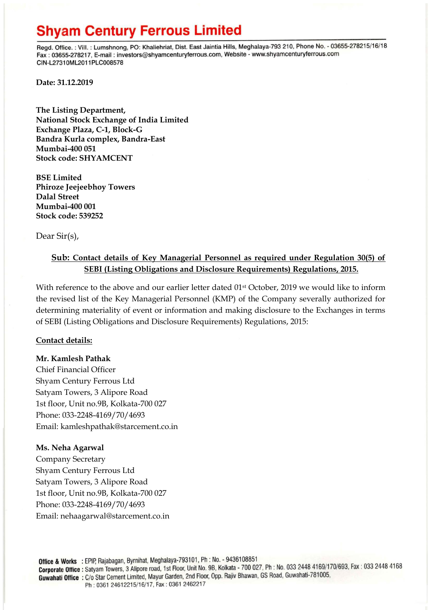# **Shyam Century Ferrous Limited**

Regd. Office.: Vill.: Lumshnong, PO: Khaliehriat, Dist. East Jaintia Hills, Meghalaya-793 210, Phone No. - 03655-278215/16/18 Fax: 03655-278217, E-mail: investors@shyamcenturyferrous.com, Website - www.shyamcenturyferrous.com CIN-L27310ML2011PLC008578

**Date: 31.12.2019**

**The Listing Department, National Stock Exchange of India Limited Exchange Plaza, C-1, Block-G Bandra Kurla complex, Bandra-East Mumbai-400 051 Stock code: SHYAMCENT**

**BSE Limited Phiroze Jeejeebhoy Towers Dalal Street Mumbai-400 001 Stock code: 539252**

Dear Sir(s),

### **Sub: Contact details of Key Managerial Personnel as required under Regulation 30(5) of SEBI (Listing Obligations and Disclosure Requirements) Regulations, 2015.**

With reference to the above and our earlier letter dated  $01<sup>st</sup>$  October, 2019 we would like to inform the revised list of the Key Managerial Personnel (KMP) of the Company severally authorized for determining materiality of event or information and making disclosure to the Exchanges in terms of SEBI (Listing Obligations and Disclosure Requirements) Regulations, 2015:

### **Contact details:**

#### **Mr. Kamlesh Pathak**

Chief Financial Officer Shyam Century Ferrous Ltd Satyam Towers, 3 Alipore Road 1st floor, Unit no.9B, Kolkata-700 027 Phone: 033-2248-4169/70/4693 Email: kamleshpathak@starcement.co.in

#### **Ms. Neha Agarwal**

Company Secretary Shyam Century Ferrous Ltd Satyam Towers, 3 Alipore Road 1st floor, Unit no.9B, Kolkata-700 027 Phone: 033-2248-4169/70/4693 Email: nehaagarwal@starcement.co.in